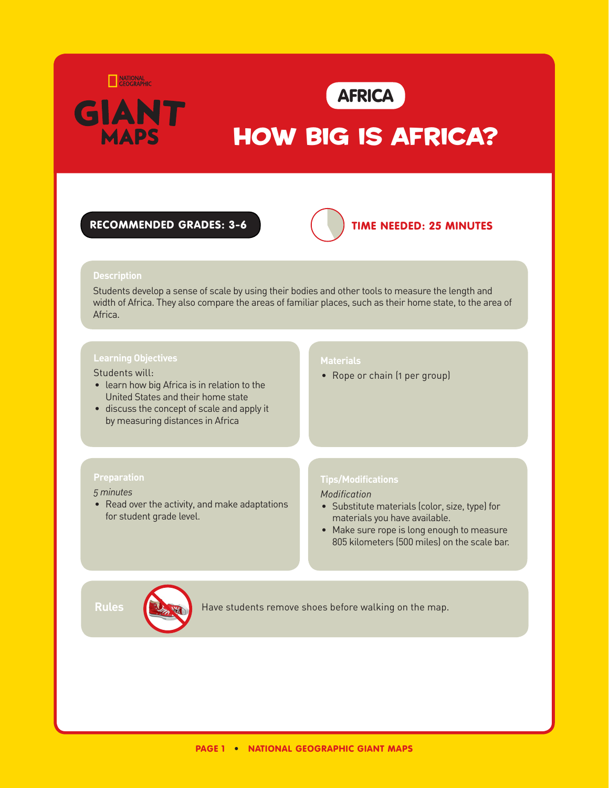



# HOW BIG IS AFRICA?

## recommended grades: 3-6



# time needed: 25 MINUTES

#### **Description**

Students develop a sense of scale by using their bodies and other tools to measure the length and width of Africa. They also compare the areas of familiar places, such as their home state, to the area of Africa.

Students will:

- learn how big Africa is in relation to the United States and their home state
- discuss the concept of scale and apply it by measuring distances in Africa

#### **Preparation**

#### *5 minutes*

• Read over the activity, and make adaptations for student grade level.

### **Materials**

• Rope or chain (1 per group)

#### **Tips/Modifications**

*Modification*

- Substitute materials (color, size, type) for materials you have available.
- Make sure rope is long enough to measure 805 kilometers (500 miles) on the scale bar.



Rules **Have students remove shoes before walking on the map.**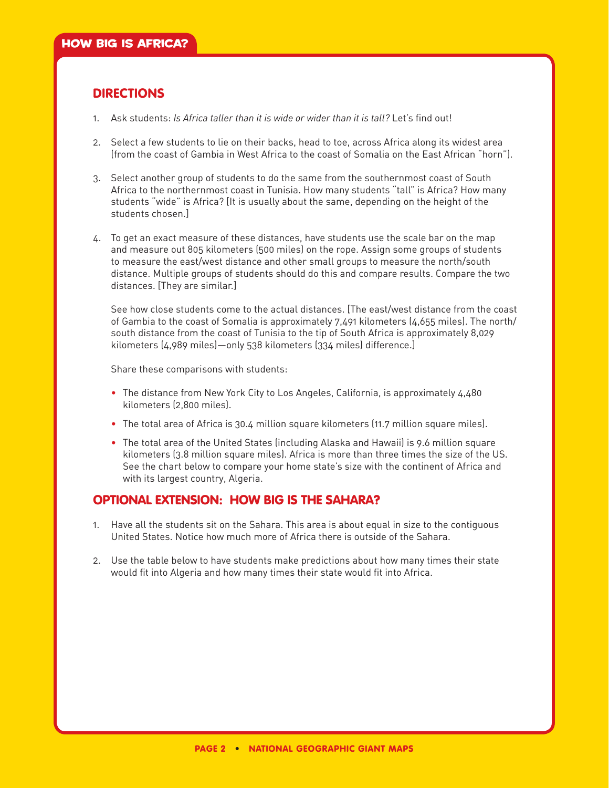# **DIRECTIONS**

- 1. Ask students: *Is Africa taller than it is wide or wider than it is tall?* Let's find out!
- 2. Select a few students to lie on their backs, head to toe, across Africa along its widest area (from the coast of Gambia in West Africa to the coast of Somalia on the East African "horn").
- 3. Select another group of students to do the same from the southernmost coast of South Africa to the northernmost coast in Tunisia. How many students "tall" is Africa? How many students "wide" is Africa? [It is usually about the same, depending on the height of the students chosen.]
- 4. To get an exact measure of these distances, have students use the scale bar on the map and measure out 805 kilometers (500 miles) on the rope. Assign some groups of students to measure the east/west distance and other small groups to measure the north/south distance. Multiple groups of students should do this and compare results. Compare the two distances. [They are similar.]

See how close students come to the actual distances. [The east/west distance from the coast of Gambia to the coast of Somalia is approximately 7,491 kilometers (4,655 miles). The north/ south distance from the coast of Tunisia to the tip of South Africa is approximately 8,029 kilometers (4,989 miles)—only 538 kilometers (334 miles) difference.]

Share these comparisons with students:

- The distance from New York City to Los Angeles, California, is approximately 4,480 kilometers (2,800 miles).
- •   The total area of Africa is 30.4 million square kilometers (11.7 million square miles).
- •   The total area of the United States (including Alaska and Hawaii) is 9.6 million square kilometers (3.8 million square miles). Africa is more than three times the size of the US. See the chart below to compare your home state's size with the continent of Africa and with its largest country, Algeria.

# Optional extension: 
How Big Is the Sahara?

- 1. Have all the students sit on the Sahara. This area is about equal in size to the contiguous United States. Notice how much more of Africa there is outside of the Sahara.
- 2. Use the table below to have students make predictions about how many times their state would fit into Algeria and how many times their state would fit into Africa.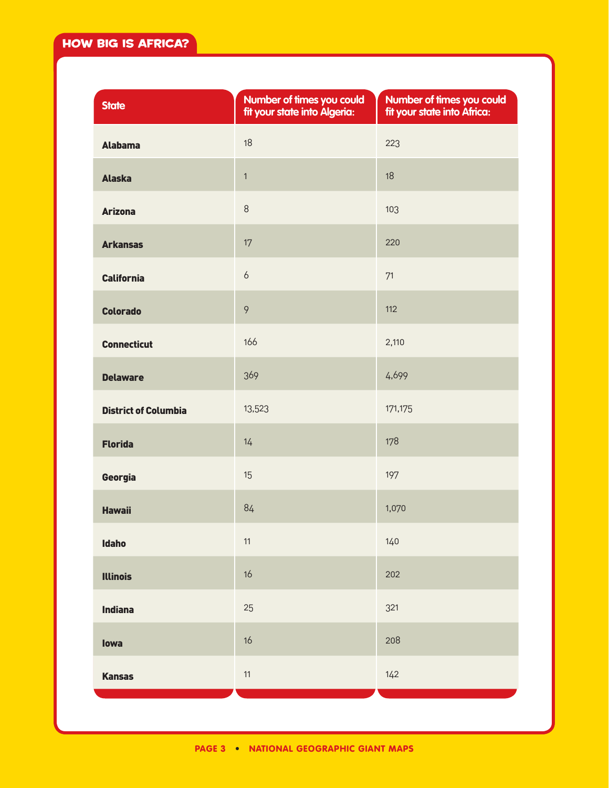| <b>State</b>                | Number of times you could<br>fit your state into Algeria: | Number of times you could<br>fit your state into Africa: |
|-----------------------------|-----------------------------------------------------------|----------------------------------------------------------|
| <b>Alabama</b>              | 18                                                        | 223                                                      |
| <b>Alaska</b>               | $\mathbf{1}$                                              | 18                                                       |
| <b>Arizona</b>              | 8                                                         | 103                                                      |
| <b>Arkansas</b>             | 17                                                        | 220                                                      |
| <b>California</b>           | 6                                                         | 71                                                       |
| <b>Colorado</b>             | $\circ$                                                   | 112                                                      |
| <b>Connecticut</b>          | 166                                                       | 2,110                                                    |
| <b>Delaware</b>             | 369                                                       | 4,699                                                    |
| <b>District of Columbia</b> | 13,523                                                    | 171,175                                                  |
| <b>Florida</b>              | 14                                                        | 178                                                      |
| Georgia                     | 15                                                        | 197                                                      |
| <b>Hawaii</b>               | 84                                                        | 1,070                                                    |
| <b>Idaho</b>                | $11$                                                      | 140                                                      |
| <b>Illinois</b>             | 16                                                        | 202                                                      |
| <b>Indiana</b>              | 25                                                        | 321                                                      |
| lowa                        | 16                                                        | 208                                                      |
| <b>Kansas</b>               | $11$                                                      | 142                                                      |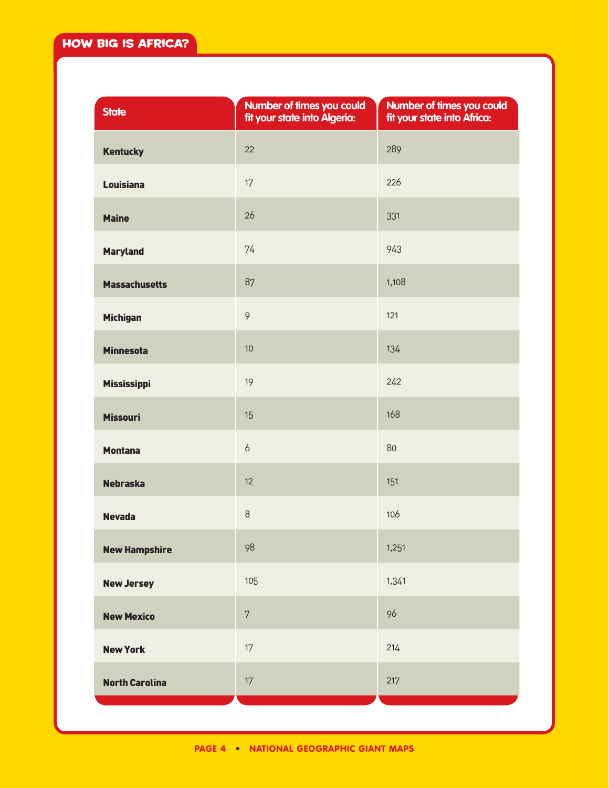| <b>State</b>          | Number of times you could<br>fit your state into Algeria: | Number of times you could<br>fit your state into Africa: |
|-----------------------|-----------------------------------------------------------|----------------------------------------------------------|
| <b>Kentucky</b>       | 22                                                        | 289                                                      |
| <b>Louisiana</b>      | 17                                                        | 226                                                      |
| <b>Maine</b>          | 26                                                        | 331                                                      |
| <b>Maryland</b>       | 74                                                        | 943                                                      |
| <b>Massachusetts</b>  | 87                                                        | 1,108                                                    |
| <b>Michigan</b>       | $\mathcal{P}$                                             | 121                                                      |
| <b>Minnesota</b>      | 10                                                        | 134                                                      |
| <b>Mississippi</b>    | 19                                                        | 242                                                      |
| <b>Missouri</b>       | 15                                                        | 168                                                      |
| <b>Montana</b>        | $\boldsymbol{6}$                                          | 80                                                       |
| <b>Nebraska</b>       | 12                                                        | 151                                                      |
| <b>Nevada</b>         | $\,8\,$                                                   | 106                                                      |
| <b>New Hampshire</b>  | 98                                                        | 1,251                                                    |
| <b>New Jersey</b>     | 105                                                       | 1,341                                                    |
| <b>New Mexico</b>     | $\sqrt{2}$                                                | 96                                                       |
| <b>New York</b>       | 17                                                        | 214                                                      |
| <b>North Carolina</b> | 17                                                        | 217                                                      |